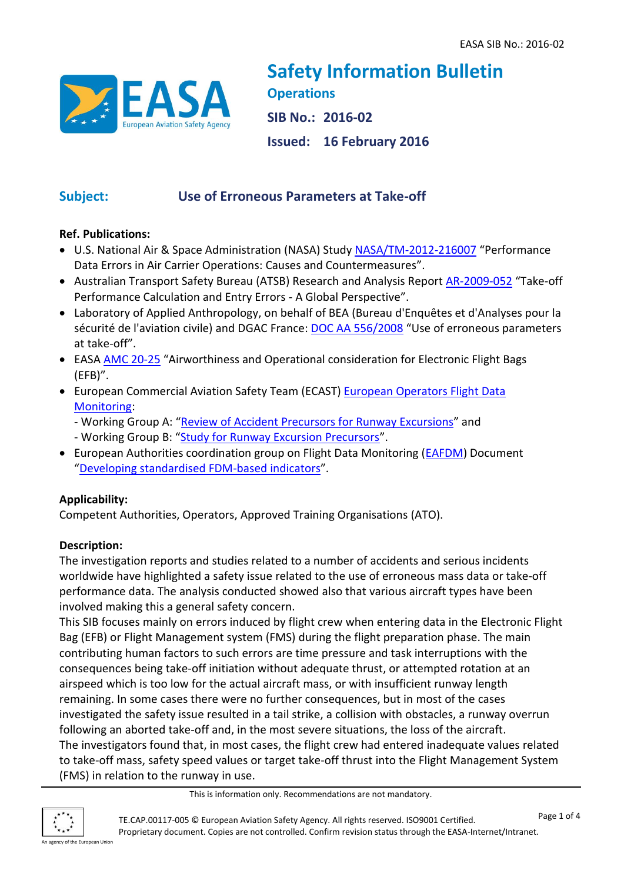

**Safety Information Bulletin Operations SIB No.: 2016-02 Issued: 16 February 2016**

# **Subject: Use of Erroneous Parameters at Take-off**

# **Ref. Publications:**

- U.S. National Air & Space Administration (NASA) Study [NASA/TM-2012-216007](http://human-factors.arc.nasa.gov/publications/NASA_TM2012-216007.pdf) "Performance Data Errors in Air Carrier Operations: Causes and Countermeasures".
- Australian Transport Safety Bureau (ATSB) Research and Analysis Report [AR-2009-052](https://www.atsb.gov.au/publications/2009/ar2009052.aspx) "Take-off Performance Calculation and Entry Errors - A Global Perspective".
- Laboratory of Applied Anthropology, on behalf of BEA (Bureau d'Enquêtes et d'Analyses pour la sécurité de l'aviation civile) and DGAC France: **[DOC AA 556/2008](http://www.bea.aero/etudes/use.of.erroneous.parameters.at.takeoff/use.of.erroneous.parameters.at.takeoff.pdf)** "Use of erroneous parameters at take-off".
- EASA [AMC 20-25](https://easa.europa.eu/system/files/dfu/2014-001-R-Annex%20II%20-%20AMC%2020-25.pdf) "Airworthiness and Operational consideration for Electronic Flight Bags (EFB)".
- **European Commercial Aviation Safety Team (ECAST) European Operators Flight Data** [Monitoring:](http://easa.europa.eu/essi/ecast/main-page-2/eofdm/)
	- Working Group A: "[Review of Accident Precursors for Runway Excursions](http://easa.europa.eu/essi/ecast/wp-content/uploads/2014/05/EOFDM_WGA_Runway_Excursions_ver20121019.pdf)" and
	- Working Group B: "[Study for Runway Excursion Precursors](http://easa.europa.eu/essi/ecast/wp-content/uploads/2014/05/EOFDM_WGB_Runway_Excursions_ver20140331.pdf)".
- European Authorities coordination group on Flight Data Monitoring [\(EAFDM\)](http://easa.europa.eu/easa-and-you/safety-management/safety-analysis/european-authorities-coordination-group-flight-data-monitoring-eafdm) Document "[Developing standardised FDM-based indicators](https://easa.europa.eu/system/files/dfu/safety-and-research-docs-eafdm-EAFDM---Developing-standardised-FDM-based-indicators.pdf)".

# **Applicability:**

Competent Authorities, Operators, Approved Training Organisations (ATO).

# **Description:**

The investigation reports and studies related to a number of accidents and serious incidents worldwide have highlighted a safety issue related to the use of erroneous mass data or take-off performance data. The analysis conducted showed also that various aircraft types have been involved making this a general safety concern.

This SIB focuses mainly on errors induced by flight crew when entering data in the Electronic Flight Bag (EFB) or Flight Management system (FMS) during the flight preparation phase. The main contributing human factors to such errors are time pressure and task interruptions with the consequences being take-off initiation without adequate thrust, or attempted rotation at an airspeed which is too low for the actual aircraft mass, or with insufficient runway length remaining. In some cases there were no further consequences, but in most of the cases investigated the safety issue resulted in a tail strike, a collision with obstacles, a runway overrun following an aborted take-off and, in the most severe situations, the loss of the aircraft. The investigators found that, in most cases, the flight crew had entered inadequate values related to take-off mass, safety speed values or target take-off thrust into the Flight Management System (FMS) in relation to the runway in use.

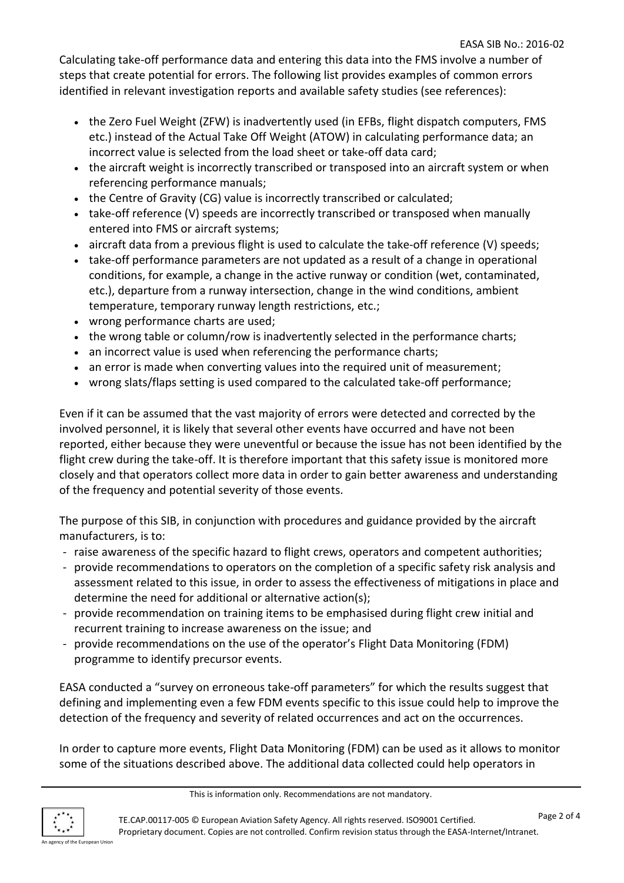Calculating take-off performance data and entering this data into the FMS involve a number of steps that create potential for errors. The following list provides examples of common errors identified in relevant investigation reports and available safety studies (see references):

- the Zero Fuel Weight (ZFW) is inadvertently used (in EFBs, flight dispatch computers, FMS etc.) instead of the Actual Take Off Weight (ATOW) in calculating performance data; an incorrect value is selected from the load sheet or take-off data card;
- the aircraft weight is incorrectly transcribed or transposed into an aircraft system or when referencing performance manuals;
- the Centre of Gravity (CG) value is incorrectly transcribed or calculated;
- take-off reference (V) speeds are incorrectly transcribed or transposed when manually entered into FMS or aircraft systems;
- aircraft data from a previous flight is used to calculate the take-off reference (V) speeds;
- take-off performance parameters are not updated as a result of a change in operational conditions, for example, a change in the active runway or condition (wet, contaminated, etc.), departure from a runway intersection, change in the wind conditions, ambient temperature, temporary runway length restrictions, etc.;
- wrong performance charts are used;
- the wrong table or column/row is inadvertently selected in the performance charts;
- an incorrect value is used when referencing the performance charts;
- an error is made when converting values into the required unit of measurement;
- wrong slats/flaps setting is used compared to the calculated take-off performance;

Even if it can be assumed that the vast majority of errors were detected and corrected by the involved personnel, it is likely that several other events have occurred and have not been reported, either because they were uneventful or because the issue has not been identified by the flight crew during the take-off. It is therefore important that this safety issue is monitored more closely and that operators collect more data in order to gain better awareness and understanding of the frequency and potential severity of those events.

The purpose of this SIB, in conjunction with procedures and guidance provided by the aircraft manufacturers, is to:

- raise awareness of the specific hazard to flight crews, operators and competent authorities;
- provide recommendations to operators on the completion of a specific safety risk analysis and assessment related to this issue, in order to assess the effectiveness of mitigations in place and determine the need for additional or alternative action(s);
- provide recommendation on training items to be emphasised during flight crew initial and recurrent training to increase awareness on the issue; and
- provide recommendations on the use of the operator's Flight Data Monitoring (FDM) programme to identify precursor events.

EASA conducted a "survey on erroneous take-off parameters" for which the results suggest that defining and implementing even a few FDM events specific to this issue could help to improve the detection of the frequency and severity of related occurrences and act on the occurrences.

In order to capture more events, Flight Data Monitoring (FDM) can be used as it allows to monitor some of the situations described above. The additional data collected could help operators in

This is information only. Recommendations are not mandatory.

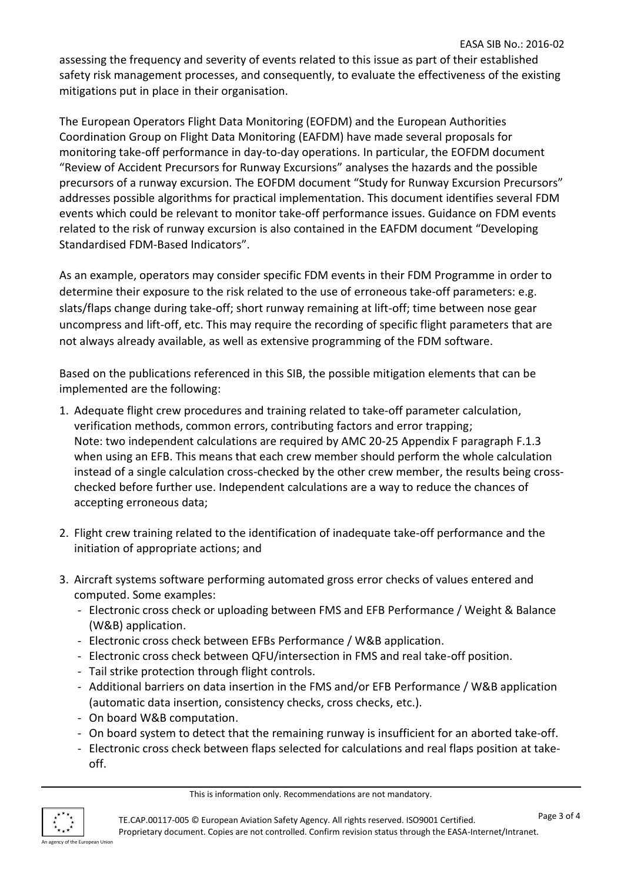assessing the frequency and severity of events related to this issue as part of their established safety risk management processes, and consequently, to evaluate the effectiveness of the existing mitigations put in place in their organisation.

The European Operators Flight Data Monitoring (EOFDM) and the European Authorities Coordination Group on Flight Data Monitoring (EAFDM) have made several proposals for monitoring take-off performance in day-to-day operations. In particular, the EOFDM document "Review of Accident Precursors for Runway Excursions" analyses the hazards and the possible precursors of a runway excursion. The EOFDM document "Study for Runway Excursion Precursors" addresses possible algorithms for practical implementation. This document identifies several FDM events which could be relevant to monitor take-off performance issues. Guidance on FDM events related to the risk of runway excursion is also contained in the EAFDM document "Developing Standardised FDM-Based Indicators".

As an example, operators may consider specific FDM events in their FDM Programme in order to determine their exposure to the risk related to the use of erroneous take-off parameters: e.g. slats/flaps change during take-off; short runway remaining at lift-off; time between nose gear uncompress and lift-off, etc. This may require the recording of specific flight parameters that are not always already available, as well as extensive programming of the FDM software.

Based on the publications referenced in this SIB, the possible mitigation elements that can be implemented are the following:

- 1. Adequate flight crew procedures and training related to take-off parameter calculation, verification methods, common errors, contributing factors and error trapping; Note: two independent calculations are required by AMC 20-25 Appendix F paragraph F.1.3 when using an EFB. This means that each crew member should perform the whole calculation instead of a single calculation cross-checked by the other crew member, the results being crosschecked before further use. Independent calculations are a way to reduce the chances of accepting erroneous data;
- 2. Flight crew training related to the identification of inadequate take-off performance and the initiation of appropriate actions; and
- 3. Aircraft systems software performing automated gross error checks of values entered and computed. Some examples:
	- Electronic cross check or uploading between FMS and EFB Performance / Weight & Balance (W&B) application.
	- Electronic cross check between EFBs Performance / W&B application.
	- Electronic cross check between QFU/intersection in FMS and real take-off position.
	- Tail strike protection through flight controls.
	- Additional barriers on data insertion in the FMS and/or EFB Performance / W&B application (automatic data insertion, consistency checks, cross checks, etc.).
	- On board W&B computation.
	- On board system to detect that the remaining runway is insufficient for an aborted take-off.
	- Electronic cross check between flaps selected for calculations and real flaps position at takeoff.

This is information only. Recommendations are not mandatory.